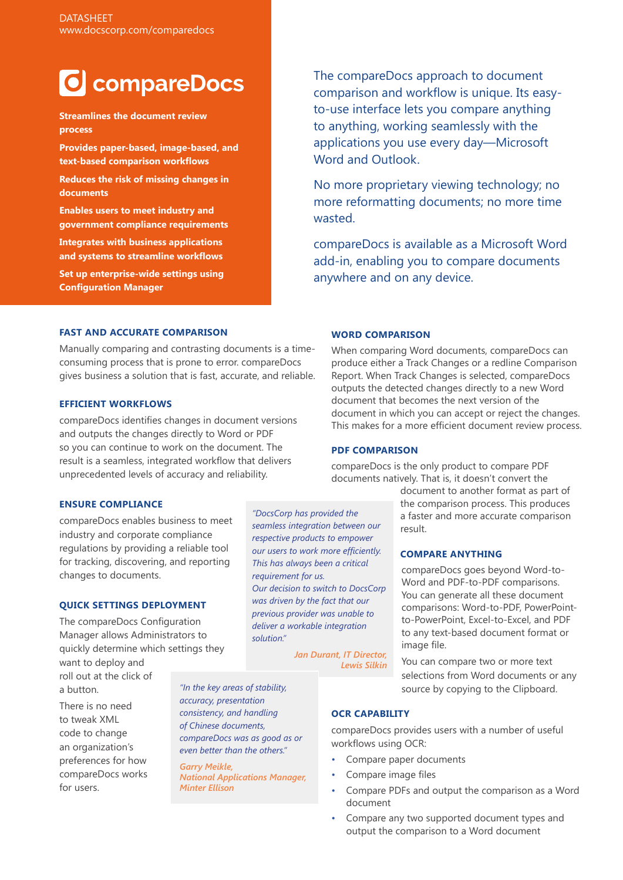# **O** compareDocs

**Streamlines the document review process**

**Provides paper-based, image-based, and text-based comparison workflows**

**Reduces the risk of missing changes in documents**

**Enables users to meet industry and government compliance requirements**

**Integrates with business applications and systems to streamline workflows**

**Set up enterprise-wide settings using Configuration Manager**

The compareDocs approach to document comparison and workflow is unique. Its easyto-use interface lets you compare anything to anything, working seamlessly with the applications you use every day—Microsoft Word and Outlook.

No more proprietary viewing technology; no more reformatting documents; no more time wasted.

compareDocs is available as a Microsoft Word add-in, enabling you to compare documents anywhere and on any device.

# **FAST AND ACCURATE COMPARISON**

Manually comparing and contrasting documents is a timeconsuming process that is prone to error. compareDocs gives business a solution that is fast, accurate, and reliable.

#### **EFFICIENT WORKFLOWS**

compareDocs identifies changes in document versions and outputs the changes directly to Word or PDF so you can continue to work on the document. The result is a seamless, integrated workflow that delivers unprecedented levels of accuracy and reliability.

# **WORD COMPARISON**

When comparing Word documents, compareDocs can produce either a Track Changes or a redline Comparison Report. When Track Changes is selected, compareDocs outputs the detected changes directly to a new Word document that becomes the next version of the document in which you can accept or reject the changes. This makes for a more efficient document review process.

#### **PDF COMPARISON**

compareDocs is the only product to compare PDF documents natively. That is, it doesn't convert the

# **ENSURE COMPLIANCE**

compareDocs enables business to meet industry and corporate compliance regulations by providing a reliable tool for tracking, discovering, and reporting changes to documents.

#### **QUICK SETTINGS DEPLOYMENT**

The compareDocs Configuration Manager allows Administrators to quickly determine which settings they

want to deploy and roll out at the click of a button.

There is no need to tweak XML code to change an organization's preferences for how compareDocs works for users.

*"DocsCorp has provided the seamless integration between our respective products to empower our users to work more efficiently. This has always been a critical requirement for us. Our decision to switch to DocsCorp was driven by the fact that our previous provider was unable to deliver a workable integration solution."*

> *Jan Durant, IT Director, Lewis Silkin*

document to another format as part of the comparison process. This produces a faster and more accurate comparison result.

#### **COMPARE ANYTHING**

compareDocs goes beyond Word-to-Word and PDF-to-PDF comparisons. You can generate all these document comparisons: Word-to-PDF, PowerPointto-PowerPoint, Excel-to-Excel, and PDF to any text-based document format or image file.

You can compare two or more text selections from Word documents or any source by copying to the Clipboard.

*"In the key areas of stability, accuracy, presentation consistency, and handling of Chinese documents, compareDocs was as good as or even better than the others."*

*Garry Meikle, National Applications Manager, Minter Ellison*

# **OCR CAPABILITY**

compareDocs provides users with a number of useful workflows using OCR:

- Compare paper documents
- Compare image files
- Compare PDFs and output the comparison as a Word document
- Compare any two supported document types and output the comparison to a Word document